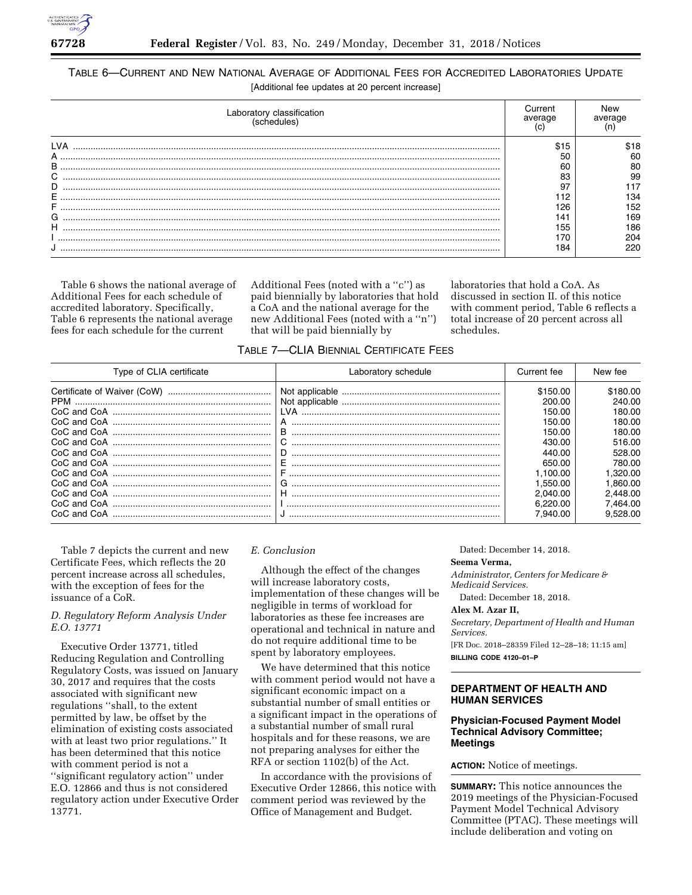

# TABLE 6—CURRENT AND NEW NATIONAL AVERAGE OF ADDITIONAL FEES FOR ACCREDITED LABORATORIES UPDATE [Additional fee updates at 20 percent increase]

| Laboratory classification<br>hedules | Current<br>average | New<br>average |
|--------------------------------------|--------------------|----------------|
|                                      |                    | \$18           |
| A                                    | 50                 | 60             |
| B                                    | 60                 | 80             |
| $\sim$<br>Ü                          | 83                 | 99             |
| D                                    | 97                 |                |
| Е                                    | 12                 | 134            |
|                                      | 126                | 152            |
| G                                    | 141                | 169            |
| н                                    | 155                | 186            |
|                                      | '70                | 204            |
|                                      | 184                |                |

Table 6 shows the national average of Additional Fees for each schedule of accredited laboratory. Specifically, Table 6 represents the national average fees for each schedule for the current

Additional Fees (noted with a ''c'') as paid biennially by laboratories that hold a CoA and the national average for the new Additional Fees (noted with a ''n'') that will be paid biennially by

laboratories that hold a CoA. As discussed in section II. of this notice with comment period, Table 6 reflects a total increase of 20 percent across all schedules.

| TABLE 7-CLIA BIENNIAL CERTIFICATE FEES |  |  |  |
|----------------------------------------|--|--|--|
|----------------------------------------|--|--|--|

| Type of CLIA certificate | Laboratory schedule | Current fee | New fee  |
|--------------------------|---------------------|-------------|----------|
|                          |                     | \$150.00    | \$180.00 |
| <b>PPM</b>               |                     | 200.00      | 240.00   |
|                          | I VA                | 150.00      | 180.00   |
|                          |                     | 150.00      | 180.00   |
|                          | в                   | 150.00      | 180.00   |
|                          |                     | 430.00      | 516.00   |
|                          | D                   | 440.00      | 528.00   |
|                          |                     | 650.00      | 780.00   |
| CoC and CoA              |                     | .100.00     | 1.320.00 |
|                          | G                   | .550.00     | 1.860.00 |
|                          | н                   | 2.040.00    | 2.448.00 |
|                          |                     | 6.220.00    | 7.464.00 |
| CoC and CoA              |                     | .940.00     | 9.528.00 |

Table 7 depicts the current and new Certificate Fees, which reflects the 20 percent increase across all schedules, with the exception of fees for the issuance of a CoR.

# *D. Regulatory Reform Analysis Under E.O. 13771*

Executive Order 13771, titled Reducing Regulation and Controlling Regulatory Costs, was issued on January 30, 2017 and requires that the costs associated with significant new regulations ''shall, to the extent permitted by law, be offset by the elimination of existing costs associated with at least two prior regulations.'' It has been determined that this notice with comment period is not a ''significant regulatory action'' under E.O. 12866 and thus is not considered regulatory action under Executive Order 13771.

## *E. Conclusion*

Although the effect of the changes will increase laboratory costs, implementation of these changes will be negligible in terms of workload for laboratories as these fee increases are operational and technical in nature and do not require additional time to be spent by laboratory employees.

We have determined that this notice with comment period would not have a significant economic impact on a substantial number of small entities or a significant impact in the operations of a substantial number of small rural hospitals and for these reasons, we are not preparing analyses for either the RFA or section 1102(b) of the Act.

In accordance with the provisions of Executive Order 12866, this notice with comment period was reviewed by the Office of Management and Budget.

Dated: December 14, 2018.

#### **Seema Verma,**

*Administrator, Centers for Medicare & Medicaid Services.* 

Dated: December 18, 2018.

# **Alex M. Azar II,**

*Secretary, Department of Health and Human Services.* 

[FR Doc. 2018–28359 Filed 12–28–18; 11:15 am] **BILLING CODE 4120–01–P** 

## **DEPARTMENT OF HEALTH AND HUMAN SERVICES**

## **Physician-Focused Payment Model Technical Advisory Committee; Meetings**

**ACTION:** Notice of meetings.

**SUMMARY:** This notice announces the 2019 meetings of the Physician-Focused Payment Model Technical Advisory Committee (PTAC). These meetings will include deliberation and voting on